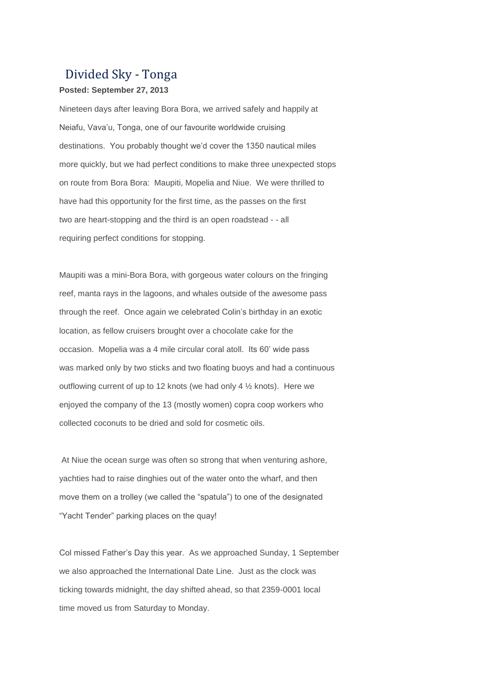## Divided Sky - Tonga

## **Posted: September 27, 2013**

Nineteen days after leaving Bora Bora, we arrived safely and happily at Neiafu, Vava'u, Tonga, one of our favourite worldwide cruising destinations. You probably thought we'd cover the 1350 nautical miles more quickly, but we had perfect conditions to make three unexpected stops on route from Bora Bora: Maupiti, Mopelia and Niue. We were thrilled to have had this opportunity for the first time, as the passes on the first two are heart-stopping and the third is an open roadstead - - all requiring perfect conditions for stopping.

Maupiti was a mini-Bora Bora, with gorgeous water colours on the fringing reef, manta rays in the lagoons, and whales outside of the awesome pass through the reef. Once again we celebrated Colin's birthday in an exotic location, as fellow cruisers brought over a chocolate cake for the occasion. Mopelia was a 4 mile circular coral atoll. Its 60' wide pass was marked only by two sticks and two floating buoys and had a continuous outflowing current of up to 12 knots (we had only 4 ½ knots). Here we enjoyed the company of the 13 (mostly women) copra coop workers who collected coconuts to be dried and sold for cosmetic oils.

At Niue the ocean surge was often so strong that when venturing ashore, yachties had to raise dinghies out of the water onto the wharf, and then move them on a trolley (we called the "spatula") to one of the designated "Yacht Tender" parking places on the quay!

Col missed Father's Day this year. As we approached Sunday, 1 September we also approached the International Date Line. Just as the clock was ticking towards midnight, the day shifted ahead, so that 2359-0001 local time moved us from Saturday to Monday.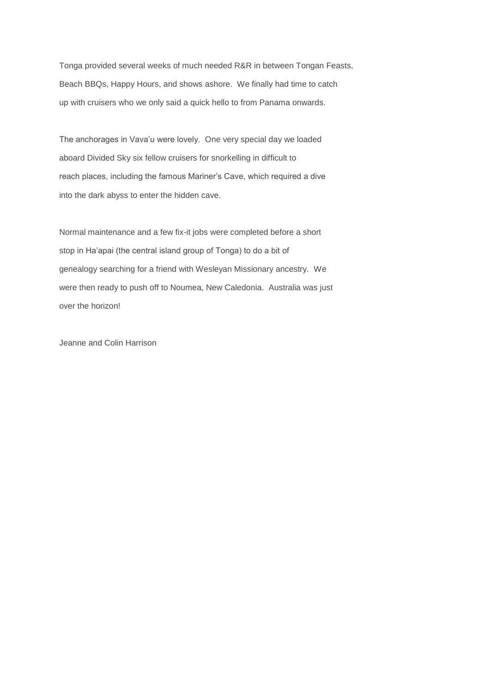Tonga provided several weeks of much needed R&R in between Tongan Feasts, Beach BBQs, Happy Hours, and shows ashore. We finally had time to catch up with cruisers who we only said a quick hello to from Panama onwards.

The anchorages in Vava'u were lovely. One very special day we loaded aboard Divided Sky six fellow cruisers for snorkelling in difficult to reach places, including the famous Mariner's Cave, which required a dive into the dark abyss to enter the hidden cave.

Normal maintenance and a few fix-it jobs were completed before a short stop in Ha'apai (the central island group of Tonga) to do a bit of genealogy searching for a friend with Wesleyan Missionary ancestry. We were then ready to push off to Noumea, New Caledonia. Australia was just over the horizon!

Jeanne and Colin Harrison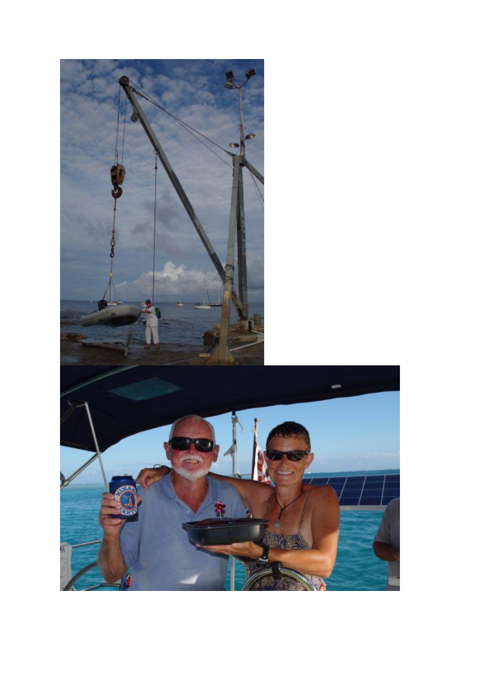